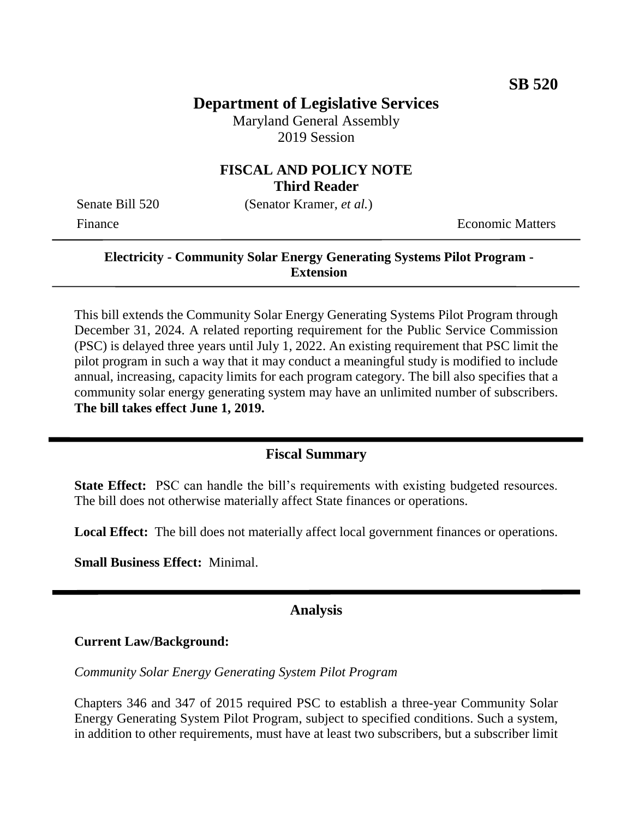# **Department of Legislative Services**

Maryland General Assembly 2019 Session

## **FISCAL AND POLICY NOTE Third Reader**

Senate Bill 520 (Senator Kramer, *et al.*)

Finance **Exercífical Economic Matters** 

#### **Electricity - Community Solar Energy Generating Systems Pilot Program - Extension**

This bill extends the Community Solar Energy Generating Systems Pilot Program through December 31, 2024. A related reporting requirement for the Public Service Commission (PSC) is delayed three years until July 1, 2022. An existing requirement that PSC limit the pilot program in such a way that it may conduct a meaningful study is modified to include annual, increasing, capacity limits for each program category. The bill also specifies that a community solar energy generating system may have an unlimited number of subscribers. **The bill takes effect June 1, 2019.**

#### **Fiscal Summary**

**State Effect:** PSC can handle the bill's requirements with existing budgeted resources. The bill does not otherwise materially affect State finances or operations.

**Local Effect:** The bill does not materially affect local government finances or operations.

**Small Business Effect:** Minimal.

## **Analysis**

#### **Current Law/Background:**

*Community Solar Energy Generating System Pilot Program*

Chapters 346 and 347 of 2015 required PSC to establish a three-year Community Solar Energy Generating System Pilot Program, subject to specified conditions. Such a system, in addition to other requirements, must have at least two subscribers, but a subscriber limit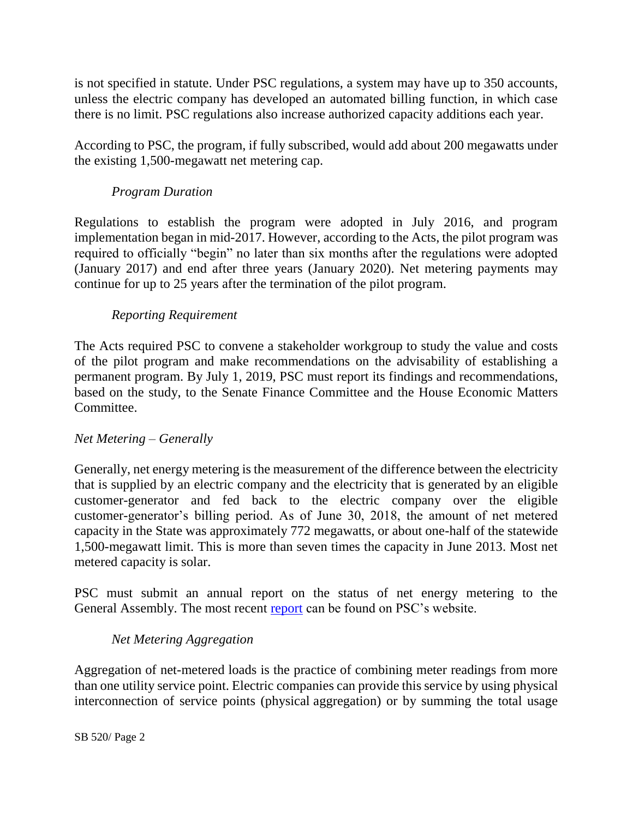is not specified in statute. Under PSC regulations, a system may have up to 350 accounts, unless the electric company has developed an automated billing function, in which case there is no limit. PSC regulations also increase authorized capacity additions each year.

According to PSC, the program, if fully subscribed, would add about 200 megawatts under the existing 1,500-megawatt net metering cap.

#### *Program Duration*

Regulations to establish the program were adopted in July 2016, and program implementation began in mid-2017. However, according to the Acts, the pilot program was required to officially "begin" no later than six months after the regulations were adopted (January 2017) and end after three years (January 2020). Net metering payments may continue for up to 25 years after the termination of the pilot program.

#### *Reporting Requirement*

The Acts required PSC to convene a stakeholder workgroup to study the value and costs of the pilot program and make recommendations on the advisability of establishing a permanent program. By July 1, 2019, PSC must report its findings and recommendations, based on the study, to the Senate Finance Committee and the House Economic Matters Committee.

#### *Net Metering – Generally*

Generally, net energy metering is the measurement of the difference between the electricity that is supplied by an electric company and the electricity that is generated by an eligible customer-generator and fed back to the electric company over the eligible customer-generator's billing period. As of June 30, 2018, the amount of net metered capacity in the State was approximately 772 megawatts, or about one-half of the statewide 1,500-megawatt limit. This is more than seven times the capacity in June 2013. Most net metered capacity is solar.

PSC must submit an annual report on the status of net energy metering to the General Assembly. The most recent [report](https://www.psc.state.md.us/wp-content/uploads/FINAL-2018-Net-Metering-Report.pdf) can be found on PSC's website.

#### *Net Metering Aggregation*

Aggregation of net-metered loads is the practice of combining meter readings from more than one utility service point. Electric companies can provide this service by using physical interconnection of service points (physical aggregation) or by summing the total usage